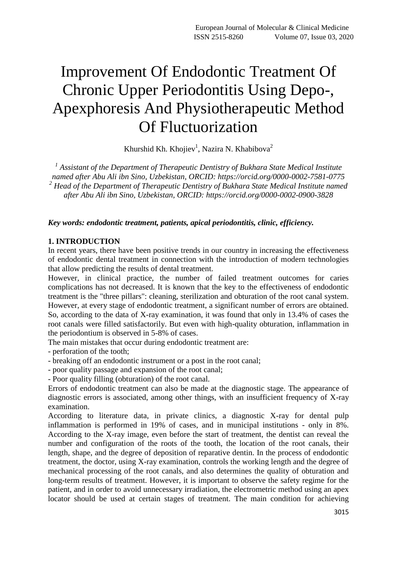# Improvement Of Endodontic Treatment Of Chronic Upper Periodontitis Using Depo-, Apexphoresis And Physiotherapeutic Method Of Fluctuorization

Khurshid Kh. Khojiev<sup>1</sup>, Nazira N. Khabibova<sup>2</sup>

<sup>1</sup> Assistant of the Department of Therapeutic Dentistry of Bukhara State Medical Institute *named after Abu Ali ibn Sino, Uzbekistan, ORCID: https://orcid.org/0000-0002-7581-0775 <sup>2</sup> Head of the Department of Therapeutic Dentistry of Bukhara State Medical Institute named after Abu Ali ibn Sino, Uzbekistan, ORCID: https://orcid.org/0000-0002-0900-3828*

*Key words: endodontic treatment, patients, apical periodontitis, clinic, efficiency.*

#### **1. INTRODUCTION**

In recent years, there have been positive trends in our country in increasing the effectiveness of endodontic dental treatment in connection with the introduction of modern technologies that allow predicting the results of dental treatment.

However, in clinical practice, the number of failed treatment outcomes for caries complications has not decreased. It is known that the key to the effectiveness of endodontic treatment is the "three pillars": cleaning, sterilization and obturation of the root canal system. However, at every stage of endodontic treatment, a significant number of errors are obtained. So, according to the data of X-ray examination, it was found that only in 13.4% of cases the root canals were filled satisfactorily. But even with high-quality obturation, inflammation in the periodontium is observed in 5-8% of cases.

The main mistakes that occur during endodontic treatment are:

- perforation of the tooth;

- breaking off an endodontic instrument or a post in the root canal;
- poor quality passage and expansion of the root canal;
- Poor quality filling (obturation) of the root canal.

Errors of endodontic treatment can also be made at the diagnostic stage. The appearance of diagnostic errors is associated, among other things, with an insufficient frequency of X-ray examination.

According to literature data, in private clinics, a diagnostic X-ray for dental pulp inflammation is performed in 19% of cases, and in municipal institutions - only in 8%. According to the X-ray image, even before the start of treatment, the dentist can reveal the number and configuration of the roots of the tooth, the location of the root canals, their length, shape, and the degree of deposition of reparative dentin. In the process of endodontic treatment, the doctor, using X-ray examination, controls the working length and the degree of mechanical processing of the root canals, and also determines the quality of obturation and long-term results of treatment. However, it is important to observe the safety regime for the patient, and in order to avoid unnecessary irradiation, the electrometric method using an apex locator should be used at certain stages of treatment. The main condition for achieving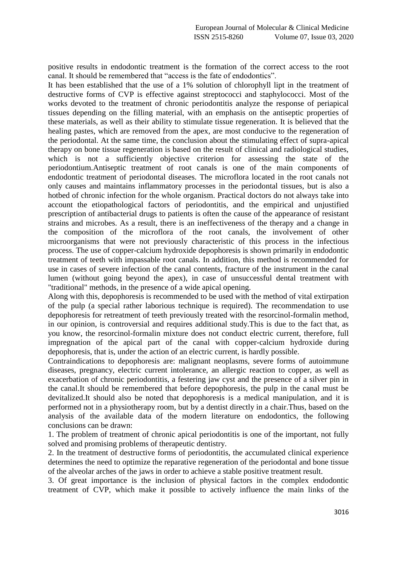positive results in endodontic treatment is the formation of the correct access to the root canal. It should be remembered that "access is the fate of endodontics".

It has been established that the use of a 1% solution of chlorophyll lipt in the treatment of destructive forms of CVP is effective against streptococci and staphylococci. Most of the works devoted to the treatment of chronic periodontitis analyze the response of periapical tissues depending on the filling material, with an emphasis on the antiseptic properties of these materials, as well as their ability to stimulate tissue regeneration. It is believed that the healing pastes, which are removed from the apex, are most conducive to the regeneration of the periodontal. At the same time, the conclusion about the stimulating effect of supra-apical therapy on bone tissue regeneration is based on the result of clinical and radiological studies, which is not a sufficiently objective criterion for assessing the state of the periodontium.Antiseptic treatment of root canals is one of the main components of endodontic treatment of periodontal diseases. The microflora located in the root canals not only causes and maintains inflammatory processes in the periodontal tissues, but is also a hotbed of chronic infection for the whole organism. Practical doctors do not always take into account the etiopathological factors of periodontitis, and the empirical and unjustified prescription of antibacterial drugs to patients is often the cause of the appearance of resistant strains and microbes. As a result, there is an ineffectiveness of the therapy and a change in the composition of the microflora of the root canals, the involvement of other microorganisms that were not previously characteristic of this process in the infectious process. The use of copper-calcium hydroxide depophoresis is shown primarily in endodontic treatment of teeth with impassable root canals. In addition, this method is recommended for use in cases of severe infection of the canal contents, fracture of the instrument in the canal lumen (without going beyond the apex), in case of unsuccessful dental treatment with "traditional" methods, in the presence of a wide apical opening.

Along with this, depophoresis is recommended to be used with the method of vital extirpation of the pulp (a special rather laborious technique is required). The recommendation to use depophoresis for retreatment of teeth previously treated with the resorcinol-formalin method, in our opinion, is controversial and requires additional study.This is due to the fact that, as you know, the resorcinol-formalin mixture does not conduct electric current, therefore, full impregnation of the apical part of the canal with copper-calcium hydroxide during depophoresis, that is, under the action of an electric current, is hardly possible.

Contraindications to depophoresis are: malignant neoplasms, severe forms of autoimmune diseases, pregnancy, electric current intolerance, an allergic reaction to copper, as well as exacerbation of chronic periodontitis, a festering jaw cyst and the presence of a silver pin in the canal.It should be remembered that before depophoresis, the pulp in the canal must be devitalized.It should also be noted that depophoresis is a medical manipulation, and it is performed not in a physiotherapy room, but by a dentist directly in a chair.Thus, based on the analysis of the available data of the modern literature on endodontics, the following conclusions can be drawn:

1. The problem of treatment of chronic apical periodontitis is one of the important, not fully solved and promising problems of therapeutic dentistry.

2. In the treatment of destructive forms of periodontitis, the accumulated clinical experience determines the need to optimize the reparative regeneration of the periodontal and bone tissue of the alveolar arches of the jaws in order to achieve a stable positive treatment result.

3. Of great importance is the inclusion of physical factors in the complex endodontic treatment of CVP, which make it possible to actively influence the main links of the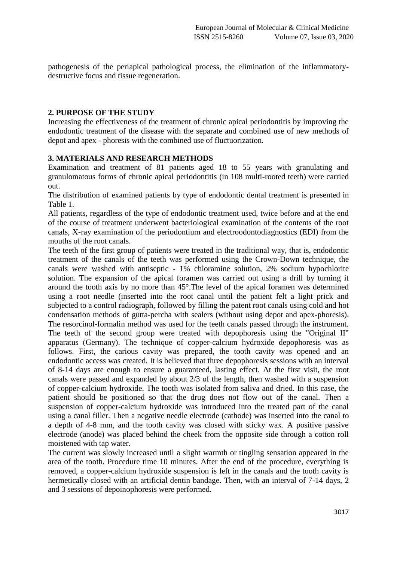pathogenesis of the periapical pathological process, the elimination of the inflammatorydestructive focus and tissue regeneration.

### **2. PURPOSE OF THE STUDY**

Increasing the effectiveness of the treatment of chronic apical periodontitis by improving the endodontic treatment of the disease with the separate and combined use of new methods of depot and apex - phoresis with the combined use of fluctuorization.

## **3. MATERIALS AND RESEARCH METHODS**

Examination and treatment of 81 patients aged 18 to 55 years with granulating and granulomatous forms of chronic apical periodontitis (in 108 multi-rooted teeth) were carried out.

The distribution of examined patients by type of endodontic dental treatment is presented in Table 1.

All patients, regardless of the type of endodontic treatment used, twice before and at the end of the course of treatment underwent bacteriological examination of the contents of the root canals, X-ray examination of the periodontium and electroodontodiagnostics (EDI) from the mouths of the root canals.

The teeth of the first group of patients were treated in the traditional way, that is, endodontic treatment of the canals of the teeth was performed using the Crown-Down technique, the canals were washed with antiseptic - 1% chloramine solution, 2% sodium hypochlorite solution. The expansion of the apical foramen was carried out using a drill by turning it around the tooth axis by no more than 45°.The level of the apical foramen was determined using a root needle (inserted into the root canal until the patient felt a light prick and subjected to a control radiograph, followed by filling the patent root canals using cold and hot condensation methods of gutta-percha with sealers (without using depot and apex-phoresis). The resorcinol-formalin method was used for the teeth canals passed through the instrument. The teeth of the second group were treated with depophoresis using the "Original II" apparatus (Germany). The technique of copper-calcium hydroxide depophoresis was as follows. First, the carious cavity was prepared, the tooth cavity was opened and an endodontic access was created. It is believed that three depophoresis sessions with an interval of 8-14 days are enough to ensure a guaranteed, lasting effect. At the first visit, the root canals were passed and expanded by about 2/3 of the length, then washed with a suspension of copper-calcium hydroxide. The tooth was isolated from saliva and dried. In this case, the patient should be positioned so that the drug does not flow out of the canal. Then a suspension of copper-calcium hydroxide was introduced into the treated part of the canal using a canal filler. Then a negative needle electrode (cathode) was inserted into the canal to a depth of 4-8 mm, and the tooth cavity was closed with sticky wax. A positive passive electrode (anode) was placed behind the cheek from the opposite side through a cotton roll moistened with tap water.

The current was slowly increased until a slight warmth or tingling sensation appeared in the area of the tooth. Procedure time 10 minutes. After the end of the procedure, everything is removed, a copper-calcium hydroxide suspension is left in the canals and the tooth cavity is hermetically closed with an artificial dentin bandage. Then, with an interval of 7-14 days, 2 and 3 sessions of depoinophoresis were performed.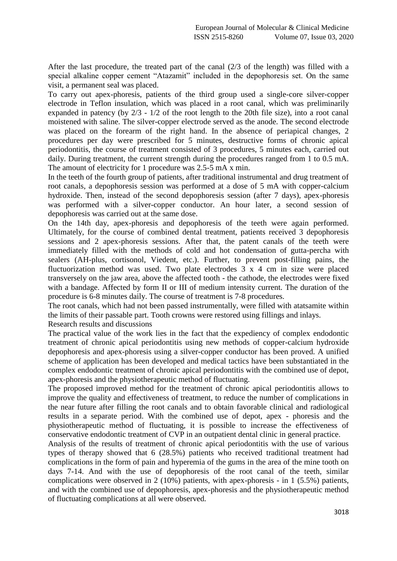After the last procedure, the treated part of the canal (2/3 of the length) was filled with a special alkaline copper cement "Atazamit" included in the depophoresis set. On the same visit, a permanent seal was placed.

To carry out apex-phoresis, patients of the third group used a single-core silver-copper electrode in Teflon insulation, which was placed in a root canal, which was preliminarily expanded in patency (by 2/3 - 1/2 of the root length to the 20th file size), into a root canal moistened with saline. The silver-copper electrode served as the anode. The second electrode was placed on the forearm of the right hand. In the absence of periapical changes, 2 procedures per day were prescribed for 5 minutes, destructive forms of chronic apical periodontitis, the course of treatment consisted of 3 procedures, 5 minutes each, carried out daily. During treatment, the current strength during the procedures ranged from 1 to 0.5 mA. The amount of electricity for 1 procedure was 2.5-5 mA x min.

In the teeth of the fourth group of patients, after traditional instrumental and drug treatment of root canals, a depophoresis session was performed at a dose of 5 mA with copper-calcium hydroxide. Then, instead of the second depophoresis session (after 7 days), apex-phoresis was performed with a silver-copper conductor. An hour later, a second session of depophoresis was carried out at the same dose.

On the 14th day, apex-phoresis and depophoresis of the teeth were again performed. Ultimately, for the course of combined dental treatment, patients received 3 depophoresis sessions and 2 apex-phoresis sessions. After that, the patent canals of the teeth were immediately filled with the methods of cold and hot condensation of gutta-percha with sealers (AH-plus, cortisonol, Viedent, etc.). Further, to prevent post-filling pains, the fluctuorization method was used. Two plate electrodes 3 x 4 cm in size were placed transversely on the jaw area, above the affected tooth - the cathode, the electrodes were fixed with a bandage. Affected by form II or III of medium intensity current. The duration of the procedure is 6-8 minutes daily. The course of treatment is 7-8 procedures.

The root canals, which had not been passed instrumentally, were filled with atatsamite within the limits of their passable part. Tooth crowns were restored using fillings and inlays. Research results and discussions

The practical value of the work lies in the fact that the expediency of complex endodontic treatment of chronic apical periodontitis using new methods of copper-calcium hydroxide depophoresis and apex-phoresis using a silver-copper conductor has been proved. A unified scheme of application has been developed and medical tactics have been substantiated in the complex endodontic treatment of chronic apical periodontitis with the combined use of depot, apex-phoresis and the physiotherapeutic method of fluctuating.

The proposed improved method for the treatment of chronic apical periodontitis allows to improve the quality and effectiveness of treatment, to reduce the number of complications in the near future after filling the root canals and to obtain favorable clinical and radiological results in a separate period. With the combined use of depot, apex - phoresis and the physiotherapeutic method of fluctuating, it is possible to increase the effectiveness of conservative endodontic treatment of CVP in an outpatient dental clinic in general practice.

Analysis of the results of treatment of chronic apical periodontitis with the use of various types of therapy showed that 6 (28.5%) patients who received traditional treatment had complications in the form of pain and hyperemia of the gums in the area of the mine tooth on days 7-14. And with the use of depophoresis of the root canal of the teeth, similar complications were observed in 2 (10%) patients, with apex-phoresis - in 1 (5.5%) patients, and with the combined use of depophoresis, apex-phoresis and the physiotherapeutic method of fluctuating complications at all were observed.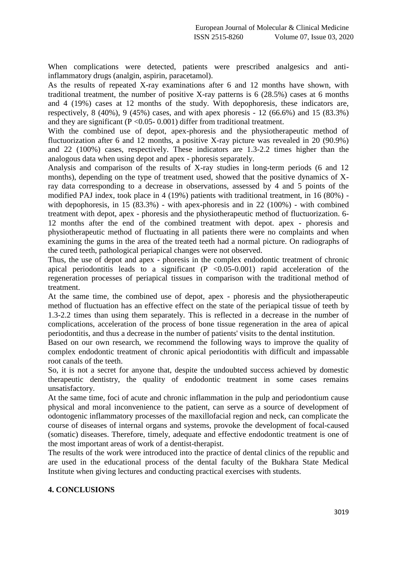When complications were detected, patients were prescribed analgesics and antiinflammatory drugs (analgin, aspirin, paracetamol).

As the results of repeated X-ray examinations after 6 and 12 months have shown, with traditional treatment, the number of positive X-ray patterns is 6 (28.5%) cases at 6 months and 4 (19%) cases at 12 months of the study. With depophoresis, these indicators are, respectively, 8 (40%), 9 (45%) cases, and with apex phoresis - 12 (66.6%) and 15 (83.3%) and they are significant ( $P < 0.05 - 0.001$ ) differ from traditional treatment.

With the combined use of depot, apex-phoresis and the physiotherapeutic method of fluctuorization after 6 and 12 months, a positive X-ray picture was revealed in 20 (90.9%) and 22 (100%) cases, respectively. These indicators are 1.3-2.2 times higher than the analogous data when using depot and apex - phoresis separately.

Analysis and comparison of the results of X-ray studies in long-term periods (6 and 12 months), depending on the type of treatment used, showed that the positive dynamics of Xray data corresponding to a decrease in observations, assessed by 4 and 5 points of the modified PAJ index, took place in 4 (19%) patients with traditional treatment, in 16 (80%) with depophoresis, in 15 (83.3%) - with apex-phoresis and in 22 (100%) - with combined treatment with depot, apex - phoresis and the physiotherapeutic method of fluctuorization. 6- 12 months after the end of the combined treatment with depot. apex - phoresis and physiotherapeutic method of fluctuating in all patients there were no complaints and when examining the gums in the area of the treated teeth had a normal picture. On radiographs of the cured teeth, pathological periapical changes were not observed.

Thus, the use of depot and apex - phoresis in the complex endodontic treatment of chronic apical periodontitis leads to a significant  $(P < 0.05-0.001)$  rapid acceleration of the regeneration processes of periapical tissues in comparison with the traditional method of treatment.

At the same time, the combined use of depot, apex - phoresis and the physiotherapeutic method of fluctuation has an effective effect on the state of the periapical tissue of teeth by 1.3-2.2 times than using them separately. This is reflected in a decrease in the number of complications, acceleration of the process of bone tissue regeneration in the area of apical periodontitis, and thus a decrease in the number of patients' visits to the dental institution.

Based on our own research, we recommend the following ways to improve the quality of complex endodontic treatment of chronic apical periodontitis with difficult and impassable root canals of the teeth.

So, it is not a secret for anyone that, despite the undoubted success achieved by domestic therapeutic dentistry, the quality of endodontic treatment in some cases remains unsatisfactory.

At the same time, foci of acute and chronic inflammation in the pulp and periodontium cause physical and moral inconvenience to the patient, can serve as a source of development of odontogenic inflammatory processes of the maxillofacial region and neck, can complicate the course of diseases of internal organs and systems, provoke the development of focal-caused (somatic) diseases. Therefore, timely, adequate and effective endodontic treatment is one of the most important areas of work of a dentist-therapist.

The results of the work were introduced into the practice of dental clinics of the republic and are used in the educational process of the dental faculty of the Bukhara State Medical Institute when giving lectures and conducting practical exercises with students.

#### **4. CONCLUSIONS**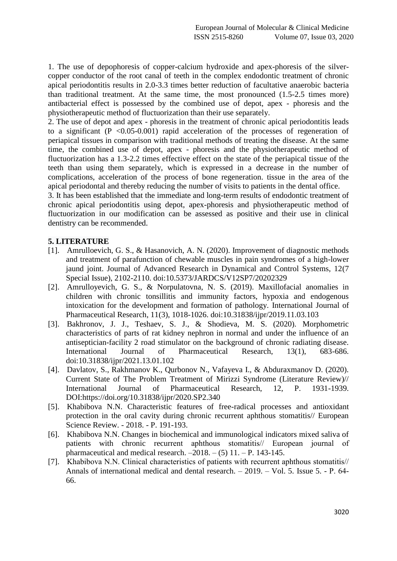1. The use of depophoresis of copper-calcium hydroxide and apex-phoresis of the silvercopper conductor of the root canal of teeth in the complex endodontic treatment of chronic apical periodontitis results in 2.0-3.3 times better reduction of facultative anaerobic bacteria than traditional treatment. At the same time, the most pronounced (1.5-2.5 times more) antibacterial effect is possessed by the combined use of depot, apex - phoresis and the physiotherapeutic method of fluctuorization than their use separately.

2. The use of depot and apex - phoresis in the treatment of chronic apical periodontitis leads to a significant  $(P \le 0.05-0.001)$  rapid acceleration of the processes of regeneration of periapical tissues in comparison with traditional methods of treating the disease. At the same time, the combined use of depot, apex - phoresis and the physiotherapeutic method of fluctuorization has a 1.3-2.2 times effective effect on the state of the periapical tissue of the teeth than using them separately, which is expressed in a decrease in the number of complications, acceleration of the process of bone regeneration. tissue in the area of the apical periodontal and thereby reducing the number of visits to patients in the dental office.

3. It has been established that the immediate and long-term results of endodontic treatment of chronic apical periodontitis using depot, apex-phoresis and physiotherapeutic method of fluctuorization in our modification can be assessed as positive and their use in clinical dentistry can be recommended.

# **5. LITERATURE**

- [1]. Amrulloevich, G. S., & Hasanovich, A. N. (2020). Improvement of diagnostic methods and treatment of parafunction of chewable muscles in pain syndromes of a high-lower jaund joint. Journal of Advanced Research in Dynamical and Control Systems, 12(7 Special Issue), 2102-2110. doi:10.5373/JARDCS/V12SP7/20202329
- [2]. Amrulloyevich, G. S., & Norpulatovna, N. S. (2019). Maxillofacial anomalies in children with chronic tonsillitis and immunity factors, hypoxia and endogenous intoxication for the development and formation of pathology. International Journal of Pharmaceutical Research, 11(3), 1018-1026. doi:10.31838/ijpr/2019.11.03.103
- [3]. Bakhronov, J. J., Teshaev, S. J., & Shodieva, M. S. (2020). Morphometric characteristics of parts of rat kidney nephron in normal and under the influence of an antiseptician-facility 2 road stimulator on the background of chronic radiating disease. International Journal of Pharmaceutical Research, 13(1), 683-686. doi:10.31838/ijpr/2021.13.01.102
- [4]. Davlatov, S., Rakhmanov K., Qurbonov N., Vafayeva I., & Abduraxmanov D. (2020). Current State of The Problem Treatment of Mirizzi Syndrome (Literature Review)// International Journal of Pharmaceutical Research, 12, P. 1931-1939. DOI:https://doi.org/10.31838/ijpr/2020.SP2.340
- [5]. Khabibova N.N. Characteristic features of free-radical processes and antioxidant protection in the oral cavity during chronic recurrent aphthous stomatitis// European Science Review. - 2018. - P. 191-193.
- [6]. Khabibova N.N. Changes in biochemical and immunological indicators mixed saliva of patients with chronic recurrent aphthous stomatitis// Еuropean journal of pharmaceutical and medical research.  $-2018. - (5)$  11.  $-$  P. 143-145.
- [7]. Khabibova N.N. Clinical characteristics of patients with recurrent aphthous stomatitis// Annals of international medical and dental research. – 2019. – Vol. 5. Issue 5. - Р. 64- 66.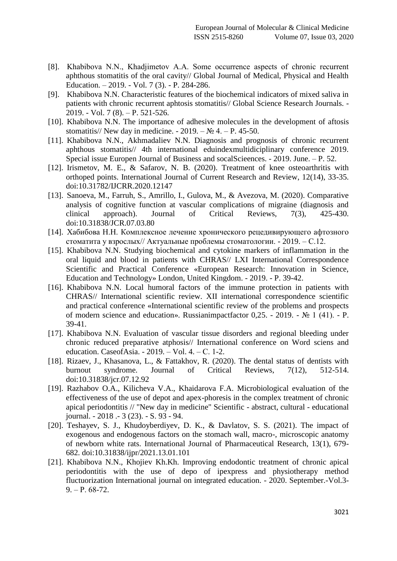- [8]. Khabibova N.N., Khadjimetov A.А. Some occurrence aspects of chronic recurrent aphthous stomatitis of the oral cavity// Global Journal of Medical, Physical and Health Education. – 2019. - Vol. 7 (3). - P. 284-286.
- [9]. Khabibova N.N. Characteristic features of the biochemical indicators of mixed saliva in patients with chronic recurrent aphtosis stomatitis// Global Science Research Journals. - 2019. - Vol. 7 (8). – P. 521-526.
- [10]. Khabibova N.N. The importance of adhesive molecules in the development of aftosis stomatitis// New day in medicine.  $-2019. - N_2 4. - P. 45-50.$
- [11]. Khabibova N.N., Akhmadaliev N.N. Diagnosis and prognosis of chronic recurrent aphthous stomatitis// 4th international eduindexmultidiciplinary conference 2019. Special issue Europen Journal of Business and socalScieences. - 2019. June. – P. 52.
- [12]. Irismetov, M. E., & Safarov, N. B. (2020). Treatment of knee osteoarthritis with orthoped points. International Journal of Current Research and Review, 12(14), 33-35. doi:10.31782/IJCRR.2020.12147
- [13]. Sanoeva, M., Farruh, S., Amrillo, I., Gulova, M., & Avezova, M. (2020). Comparative analysis of cognitive function at vascular complications of migraine (diagnosis and clinical approach). Journal of Critical Reviews, 7(3), 425-430. doi:10.31838/JCR.07.03.80
- [14]. Хабибова Н.Н. Комплексное лечение хронического рецедивирующего афтозного стоматита у взрослых// Актуальные проблемы стоматологии. - 2019. – С.12.
- [15]. Khabibova N.N. Studying biochemical and cytokine markers of inflammation in the oral liquid and blood in patients with CHRAS// LXI International Correspondence Scientific and Practical Conference «European Research: Innovation in Science, Education and Technology» London, United Kingdom. - 2019. - P. 39-42.
- [16]. Khabibova N.N. Local humoral factors of the immune protection in patients with CHRAS// International scientific review. XII international correspondence scientific and practical conference «International scientific review of the problems and prospects of modern science and education». Russianimpactfactor 0,25. - 2019. - № 1 (41). - P. 39-41.
- [17]. Khabibova N.N. Evaluation of vascular tissue disorders and regional bleeding under chronic reduced preparative atphosis// International conference on Word sciens and education. CaseofAsia. - 2019. – Vol. 4. – С. 1-2.
- [18]. Rizaev, J., Khasanova, L., & Fattakhov, R. (2020). The dental status of dentists with burnout syndrome. Journal of Critical Reviews, 7(12), 512-514. doi:10.31838/jcr.07.12.92
- [19]. Razhabov O.A., Kilicheva V.A., Khaidarova F.A. Microbiological evaluation of the effectiveness of the use of depot and apex-phoresis in the complex treatment of chronic apical periodontitis // "New day in medicine" Scientific - abstract, cultural - educational journal. - 2018 .- 3 (23). - S. 93 - 94.
- [20]. Teshayev, S. J., Khudoyberdiyev, D. K., & Davlatov, S. S. (2021). The impact of exogenous and endogenous factors on the stomach wall, macro-, microscopic anatomy of newborn white rats. International Journal of Pharmaceutical Research, 13(1), 679- 682. doi:10.31838/ijpr/2021.13.01.101
- [21]. Khabibova N.N., Khojiev Kh.Kh. Improving endodontic treatment of chronic apical periodontitis with the use of depo of ipexpress and physiotherapy method fluctuorization International journal on integrated education. - 2020. September.-Vol.3-  $9. - P. 68-72.$